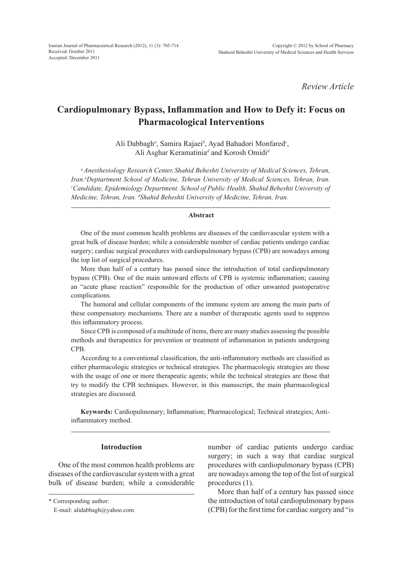*Review Article*

# **Cardiopulmonary Bypass, Inflammation and How to Defy it: Focus on Pharmacological Interventions**

Ali Dabbagh*<sup>a</sup>* , Samira Rajaei*<sup>b</sup>* , Ayad Bahadori Monfared*<sup>c</sup>* , Ali Asghar Keramatinia*<sup>d</sup>* and Korosh Omidi*<sup>d</sup>*

*aAnesthesiology Research Center, Shahid Beheshti University of Medical Sciences, Tehran, Iran.b Deptartment School of Medicine, Tehran University of Medical Sciences, Tehran, Iran. c Candidate, Epidemiology Department. School of Public Health, Shahid Beheshti University of Medicine, Tehran, Iran. d Shahid Beheshti University of Medicine, Tehran, Iran.*

#### **Abstract**

One of the most common health problems are diseases of the cardiovascular system with a great bulk of disease burden; while a considerable number of cardiac patients undergo cardiac surgery; cardiac surgical procedures with cardiopulmonary bypass (CPB) are nowadays among the top list of surgical procedures.

More than half of a century has passed since the introduction of total cardiopulmonary bypass (CPB). One of the main untoward effects of CPB is systemic inflammation; causing an "acute phase reaction" responsible for the production of other unwanted postoperative complications.

The humoral and cellular components of the immune system are among the main parts of these compensatory mechanisms. There are a number of therapeutic agents used to suppress this inflammatory process.

Since CPB is composed of a multitude of items, there are many studies assessing the possible methods and therapeutics for prevention or treatment of inflammation in patients undergoing CPB.

According to a conventional classification, the anti-inflammatory methods are classified as either pharmacologic strategies or technical strategies. The pharmacologic strategies are those with the usage of one or more therapeutic agents; while the technical strategies are those that try to modify the CPB techniques. However, in this manuscript, the main pharmacological strategies are discussed.

**Keywords:** Cardiopulmonary; Inflammation; Pharmacological; Technical strategies; Antiinflammatory method.

#### **Introduction**

One of the most common health problems are diseases of the cardiovascular system with a great bulk of disease burden; while a considerable number of cardiac patients undergo cardiac surgery; in such a way that cardiac surgical procedures with cardiopulmonary bypass (CPB) are nowadays among the top of the list of surgical procedures (1).

More than half of a century has passed since the introduction of total cardiopulmonary bypass (CPB) for the first time for cardiac surgery and "is

<sup>\*</sup> Corresponding author:

E-mail: alidabbagh@yahoo.com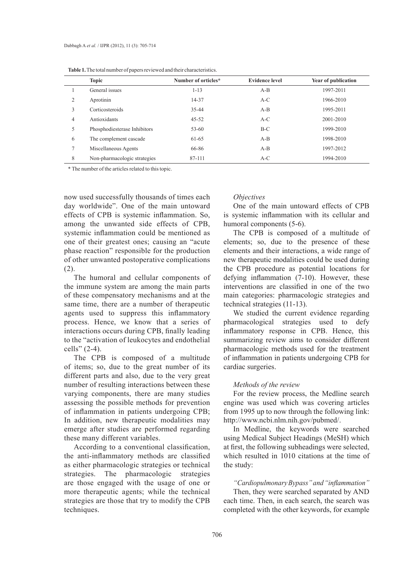| <b>rable 1.</b> The total number of papers reviewed and their characteristics. |                              |                     |                |                     |
|--------------------------------------------------------------------------------|------------------------------|---------------------|----------------|---------------------|
|                                                                                | <b>Topic</b>                 | Number of orticles* | Evidence level | Year of publication |
|                                                                                | General issues               | $1 - 13$            | $A-B$          | 1997-2011           |
| 2                                                                              | Aprotinin                    | 14-37               | $A-C$          | 1966-2010           |
| 3                                                                              | Corticosteroids              | 35-44               | $A-B$          | 1995-2011           |
| $\overline{4}$                                                                 | Antioxidants                 | $45 - 52$           | $A-C$          | 2001-2010           |
| 5                                                                              | Phosphodiesterase Inhibitors | $53 - 60$           | $B-C$          | 1999-2010           |
| 6                                                                              | The complement cascade       | 61-65               | $A-B$          | 1998-2010           |
| 7                                                                              | Miscellaneous Agents         | 66-86               | $A-B$          | 1997-2012           |
| 8                                                                              | Non-pharmacologic strategies | 87-111              | $A-C$          | 1994-2010           |

**Table 1.** The total number of papers reviewed and their characteristics.

\* The number of the articles related to this topic.

now used successfully thousands of times each day worldwide". One of the main untoward effects of CPB is systemic inflammation. So, among the unwanted side effects of CPB, systemic inflammation could be mentioned as one of their greatest ones; causing an "acute phase reaction" responsible for the production of other unwanted postoperative complications (2).

The humoral and cellular components of the immune system are among the main parts of these compensatory mechanisms and at the same time, there are a number of therapeutic agents used to suppress this inflammatory process. Hence, we know that a series of interactions occurs during CPB, finally leading to the "activation of leukocytes and endothelial cells" (2-4).

The CPB is composed of a multitude of items; so, due to the great number of its different parts and also, due to the very great number of resulting interactions between these varying components, there are many studies assessing the possible methods for prevention of inflammation in patients undergoing CPB; In addition, new therapeutic modalities may emerge after studies are performed regarding these many different variables.

According to a conventional classification, the anti-inflammatory methods are classified as either pharmacologic strategies or technical strategies. The pharmacologic strategies are those engaged with the usage of one or more therapeutic agents; while the technical strategies are those that try to modify the CPB techniques.

#### *Objectives*

One of the main untoward effects of CPB is systemic inflammation with its cellular and humoral components (5-6).

The CPB is composed of a multitude of elements; so, due to the presence of these elements and their interactions, a wide range of new therapeutic modalities could be used during the CPB procedure as potential locations for defying inflammation (7-10). However, these interventions are classified in one of the two main categories: pharmacologic strategies and technical strategies (11-13).

We studied the current evidence regarding pharmacological strategies used to defy inflammatory response in CPB. Hence, this summarizing review aims to consider different pharmacologic methods used for the treatment of inflammation in patients undergoing CPB for cardiac surgeries.

#### *Methods of the review*

For the review process, the Medline search engine was used which was covering articles from 1995 up to now through the following link: http://www.ncbi.nlm.nih.gov/pubmed/.

In Medline, the keywords were searched using Medical Subject Headings (MeSH) which at first, the following subheadings were selected, which resulted in 1010 citations at the time of the study:

*"Cardiopulmonary Bypass" and "inflammation"*  Then, they were searched separated by AND each time. Then, in each search, the search was completed with the other keywords, for example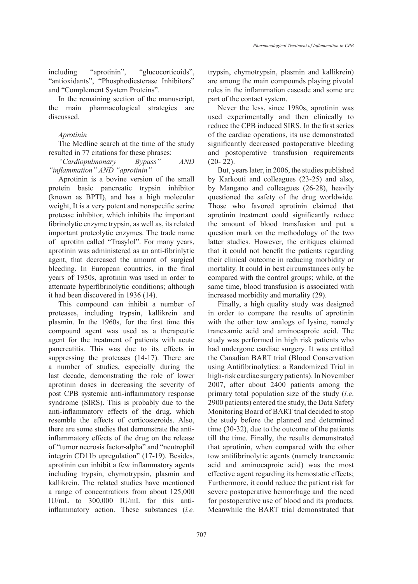including "aprotinin", "glucocorticoids", "antioxidants", "Phosphodiesterase Inhibitors" and "Complement System Proteins".

In the remaining section of the manuscript, the main pharmacological strategies are discussed.

## *Aprotinin*

The Medline search at the time of the study resulted in 77 citations for these phrases:

*"Cardiopulmonary Bypass" AND "inflammation" AND "aprotinin"*

Aprotinin is a bovine version of the small protein basic pancreatic trypsin inhibitor (known as BPTI), and has a high molecular weight, It is a very potent and nonspecific serine protease inhibitor, which inhibits the important fibrinolytic enzyme trypsin, as well as, its related important proteolytic enzymes. The trade name of aprotitn called "Trasylol". For many years, aprotinin was administered as an anti-fibrinlytic agent, that decreased the amount of surgical bleeding. In European countries, in the final years of 1950s, aprotinin was used in order to attenuate hyperfibrinolytic conditions; although it had been discovered in 1936 (14).

This compound can inhibit a number of proteases, including trypsin, kallikrein and plasmin. In the 1960s, for the first time this compound agent was used as a therapeutic agent for the treatment of patients with acute pancreatitis. This was due to its effects in suppressing the proteases (14-17). There are a number of studies, especially during the last decade, demonstrating the role of lower aprotinin doses in decreasing the severity of post CPB systemic anti-inflammatory response syndrome (SIRS). This is probably due to the anti-inflammatory effects of the drug, which resemble the effects of corticosteroids. Also, there are some studies that demonstrate the antiinflammatory effects of the drug on the release of "tumor necrosis factor-alpha" and "neutrophil integrin CD11b upregulation" (17-19). Besides, aprotinin can inhibit a few inflammatory agents including trypsin, chymotrypsin, plasmin and kallikrein. The related studies have mentioned a range of concentrations from about 125,000 IU/mL to 300,000 IU/mL for this antiinflammatory action. These substances (*i.e.*

trypsin, chymotrypsin, plasmin and kallikrein) are among the main compounds playing pivotal roles in the inflammation cascade and some are part of the contact system.

Never the less, since 1980s, aprotinin was used experimentally and then clinically to reduce the CPB induced SIRS. In the first series of the cardiac operations, its use demonstrated significantly decreased postoperative bleeding and postoperative transfusion requirements  $(20 - 22)$ .

But, years later, in 2006, the studies published by Karkouti and colleagues (23-25) and also, by Mangano and colleagues (26-28), heavily questioned the safety of the drug worldwide. Those who favored aprotinin claimed that aprotinin treatment could significantly reduce the amount of blood transfusion and put a question mark on the methodology of the two latter studies. However, the critiques claimed that it could not benefit the patients regarding their clinical outcome in reducing morbidity or mortality. It could in best circumstances only be compared with the control groups; while, at the same time, blood transfusion is associated with increased morbidity and mortality (29).

Finally, a high quality study was designed in order to compare the results of aprotinin with the other tow analogs of lysine, namely tranexamic acid and aminocaproic acid. The study was performed in high risk patients who had undergone cardiac surgery. It was entitled the Canadian BART trial (Blood Conservation using Antifibrinolytics: a Randomized Trial in high-risk cardiac surgery patients). In November 2007, after about 2400 patients among the primary total population size of the study (*i.e*. 2900 patients) entered the study, the Data Safety Monitoring Board of BART trial decided to stop the study before the planned and determined time (30-32), due to the outcome of the patients till the time. Finally, the results demonstrated that aprotinin, when compared with the other tow antifibrinolytic agents (namely tranexamic acid and aminocaproic acid) was the most effective agent regarding its hemostatic effects; Furthermore, it could reduce the patient risk for severe postoperative hemorrhage and the need for postoperative use of blood and its products. Meanwhile the BART trial demonstrated that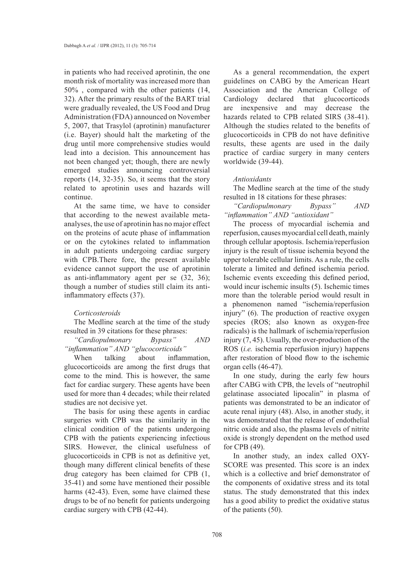in patients who had received aprotinin, the one month risk of mortality was increased more than 50% , compared with the other patients (14, 32). After the primary results of the BART trial were gradually revealed, the US Food and Drug Administration (FDA) announced on November 5, 2007, that Trasylol (aprotinin) manufacturer (i.e. Bayer) should halt the marketing of the drug until more comprehensive studies would lead into a decision. This announcement has not been changed yet; though, there are newly emerged studies announcing controversial reports (14, 32-35). So, it seems that the story related to aprotinin uses and hazards will continue.

At the same time, we have to consider that according to the newest available metaanalyses, the use of aprotinin has no major effect on the proteins of acute phase of inflammation or on the cytokines related to inflammation in adult patients undergoing cardiac surgery with CPB.There fore, the present available evidence cannot support the use of aprotinin as anti-inflammatory agent per se (32, 36); though a number of studies still claim its antiinflammatory effects (37).

#### *Corticosteroids*

The Medline search at the time of the study resulted in 39 citations for these phrases:

*"Cardiopulmonary Bypass" AND "inflammation" AND "glucocorticoids"*

When talking about inflammation, glucocorticoids are among the first drugs that come to the mind. This is however, the same fact for cardiac surgery. These agents have been used for more than 4 decades; while their related studies are not decisive yet.

The basis for using these agents in cardiac surgeries with CPB was the similarity in the clinical condition of the patients undergoing CPB with the patients experiencing infectious SIRS. However, the clinical usefulness of glucocorticoids in CPB is not as definitive yet, though many different clinical benefits of these drug category has been claimed for CPB (1, 35-41) and some have mentioned their possible harms (42-43). Even, some have claimed these drugs to be of no benefit for patients undergoing cardiac surgery with CPB (42-44).

As a general recommendation, the expert guidelines on CABG by the American Heart Association and the American College of Cardiology declared that glucocorticods are inexpensive and may decrease the hazards related to CPB related SIRS (38-41). Although the studies related to the benefits of glucocorticoids in CPB do not have definitive results, these agents are used in the daily practice of cardiac surgery in many centers worldwide (39-44).

#### *Antioxidants*

The Medline search at the time of the study resulted in 18 citations for these phrases:

*"Cardiopulmonary Bypass" AND "inflammation" AND "antioxidant"*

The process of myocardial ischemia and reperfusion, causes myocardial cell death, mainly through cellular apoptosis. Ischemia/reperfusion injury is the result of tissue ischemia beyond the upper tolerable cellular limits. As a rule, the cells tolerate a limited and defined ischemia period. Ischemic events exceeding this defined period, would incur ischemic insults (5). Ischemic times more than the tolerable period would result in a phenomenon named "ischemia/reperfusion injury" (6). The production of reactive oxygen species (ROS; also known as oxygen-free radicals) is the hallmark of ischemia/reperfusion injury (7, 45). Usually, the over-production of the ROS (*i.e.* ischemia reperfusion injury) happens after restoration of blood flow to the ischemic organ cells (46-47).

In one study, during the early few hours after CABG with CPB, the levels of "neutrophil gelatinase associated lipocalin" in plasma of patients was demonstrated to be an indicator of acute renal injury (48). Also, in another study, it was demonstrated that the release of endothelial nitric oxide and also, the plasma levels of nitrite oxide is strongly dependent on the method used for CPB (49).

In another study, an index called OXY-SCORE was presented. This score is an index which is a collective and brief demonstrator of the components of oxidative stress and its total status. The study demonstrated that this index has a good ability to predict the oxidative status of the patients (50).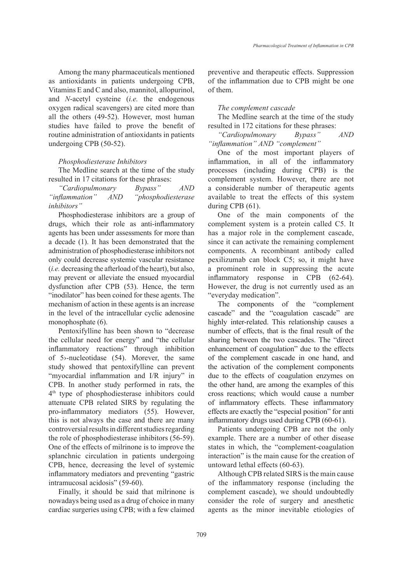Among the many pharmaceuticals mentioned as antioxidants in patients undergoing CPB, Vitamins E and C and also, mannitol, allopurinol, and *N*-acetyl cysteine (*i.e.* the endogenous oxygen radical scavengers) are cited more than all the others (49-52). However, most human studies have failed to prove the benefit of routine administration of antioxidants in patients undergoing CPB (50-52).

#### *Phosphodiesterase Inhibitors*

The Medline search at the time of the study resulted in 17 citations for these phrases:

*"Cardiopulmonary Bypass" AND "inflammation" AND "phosphodiesterase inhibitors"*

Phosphodiesterase inhibitors are a group of drugs, which their role as anti-inflammatory agents has been under assessments for more than a decade (1). It has been demonstrated that the administration of phosphodiesterase inhibitors not only could decrease systemic vascular resistance (*i.e.* decreasing the afterload of the heart), but also, may prevent or alleviate the ensued myocardial dysfunction after CPB (53). Hence, the term "inodilator" has been coined for these agents. The mechanism of action in these agents is an increase in the level of the intracellular cyclic adenosine monophosphate (6).

Pentoxifylline has been shown to "decrease the cellular need for energy" and "the cellular inflammatory reactions" through inhibition of 5›-nucleotidase (54). Morever, the same study showed that pentoxifylline can prevent "myocardial inflammation and I/R injury" in CPB. In another study performed in rats, the 4th type of phosphodiesterase inhibitors could attenuate CPB related SIRS by regulating the pro-inflammatory mediators (55). However, this is not always the case and there are many controversial results in different studies regarding the role of phosphodiesterase inhibitors (56-59). One of the effects of milrinone is to improve the splanchnic circulation in patients undergoing CPB, hence, decreasing the level of systemic inflammatory mediators and preventing "gastric intramucosal acidosis" (59-60).

Finally, it should be said that milrinone is nowadays being used as a drug of choice in many cardiac surgeries using CPB; with a few claimed preventive and therapeutic effects. Suppression of the inflammation due to CPB might be one of them.

### *The complement cascade*

The Medline search at the time of the study resulted in 172 citations for these phrases:

*"Cardiopulmonary Bypass" AND "inflammation" AND "complement"*

One of the most important players of inflammation, in all of the inflammatory processes (including during CPB) is the complement system. However, there are not a considerable number of therapeutic agents available to treat the effects of this system during CPB (61).

One of the main components of the complement system is a protein called C5. It has a major role in the complement cascade, since it can activate the remaining complement components. A recombinant antibody called pexilizumab can block C5; so, it might have a prominent role in suppressing the acute inflammatory response in CPB (62-64). However, the drug is not currently used as an "everyday medication".

The components of the "complement cascade" and the "coagulation cascade" are highly inter-related. This relationship causes a number of effects, that is the final result of the sharing between the two cascades. The "direct enhancement of coagulation" due to the effects of the complement cascade in one hand, and the activation of the complement components due to the effects of coagulation enzymes on the other hand, are among the examples of this cross reactions; which would cause a number of inflammatory effects. These inflammatory effects are exactly the "especial position" for anti inflammatory drugs used during CPB (60-61).

Patients undergoing CPB are not the only example. There are a number of other disease states in which, the "complement-coagulation interaction" is the main cause for the creation of untoward lethal effects (60-63).

Although CPB related SIRS is the main cause of the inflammatory response (including the complement cascade), we should undoubtedly consider the role of surgery and anesthetic agents as the minor inevitable etiologies of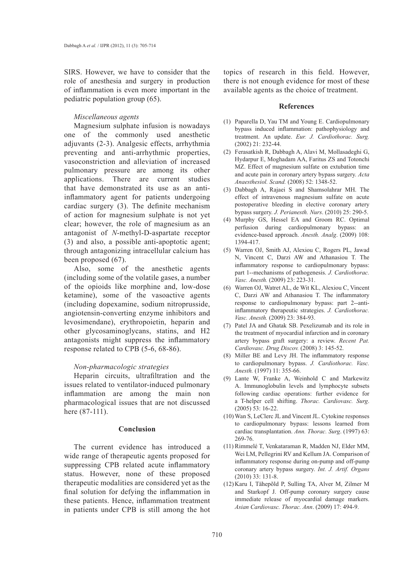SIRS. However, we have to consider that the role of anesthesia and surgery in production of inflammation is even more important in the pediatric population group (65).

## *Miscellaneous agents*

Magnesium sulphate infusion is nowadays one of the commonly used anesthetic adjuvants (2-3). Analgesic effects, arrhythmia preventing and anti-arrhythmic properties, vasoconstriction and alleviation of increased pulmonary pressure are among its other applications. There are current studies that have demonstrated its use as an antiinflammatory agent for patients undergoing cardiac surgery (3). The definite mechanism of action for magnesium sulphate is not yet clear; however, the role of magnesium as an antagonist of *N*-methyl-D-aspartate receptor (3) and also, a possible anti-apoptotic agent; through antagonizing intracellular calcium has been proposed (67).

Also, some of the anesthetic agents (including some of the volatile gases, a number of the opioids like morphine and, low-dose ketamine), some of the vasoactive agents (including dopexamine, sodium nitroprusside, angiotensin-converting enzyme inhibitors and levosimendane), erythropoietin, heparin and other glycosaminoglycans, statins, and H2 antagonists might suppress the inflammatory response related to CPB (5-6, 68-86).

## *Non-pharmacologic strategies*

Heparin circuits, ultrafiltration and the issues related to ventilator-induced pulmonary inflammation are among the main non pharmacological issues that are not discussed here (87-111).

## **Conclusion**

The current evidence has introduced a wide range of therapeutic agents proposed for suppressing CPB related acute inflammatory status. However, none of these proposed therapeutic modalities are considered yet as the final solution for defying the inflammation in these patients. Hence, inflammation treatment in patients under CPB is still among the hot topics of research in this field. However, there is not enough evidence for most of these available agents as the choice of treatment.

#### **References**

- Paparella D, Yau TM and Young E. Cardiopulmonary (1) bypass induced inflammation: pathophysiology and treatment. An update. *Eur. J. Cardiothorac. Surg.* (2002) 21: 232-44.
- Ferasatkish R, Dabbagh A, Alavi M, Mollasadeghi G, (2) Hydarpur E, Moghadam AA, Faritus ZS and Totonchi MZ. Effect of magnesium sulfate on extubation time and acute pain in coronary artery bypass surgery. *Acta Anaesthesiol. Scand.* (2008) 52: 1348-52.
- Dabbagh A, Rajaei S and Shamsolahrar MH. The (3) effect of intravenous magnesium sulfate on acute postoperative bleeding in elective coronary artery bypass surgery. *J. Perianesth. Nurs*. (2010) 25: 290-5.
- Murphy GS, Hessel EA and Groom RC. Optimal (4) perfusion during cardiopulmonary bypass: an evidence-based approach. *Anesth. Analg*. (2009) 108: 1394-417.
- Warren OJ, Smith AJ, Alexiou C, Rogers PL, Jawad (5) N, Vincent C, Darzi AW and Athanasiou T. The inflammatory response to cardiopulmonary bypass: part 1--mechanisms of pathogenesis. *J. Cardiothorac. Vasc. Anesth.* (2009) 23: 223-31.
- Warren OJ, Watret AL, de Wit KL, Alexiou C, Vincent (6) C, Darzi AW and Athanasiou T. The inflammatory response to cardiopulmonary bypass: part 2--antiinflammatory therapeutic strategies. *J. Cardiothorac. Vasc. Anesth.* (2009) 23: 384-93.
- Patel JA and Ghatak SB. Pexelizumab and its role in (7) the treatment of myocardial infarction and in coronary artery bypass graft surgery: a review. *Recent Pat. Cardiovasc. Drug Discov.* (2008) 3: 145-52.
- (8) Miller BE and Levy JH. The inflammatory response to cardiopulmonary bypass. *J. Cardiothorac. Vasc. Anesth.* (1997) 11: 355-66.
- Lante W, Franke A, Weinhold C and Markewitz (9) A. Immunoglobulin levels and lymphocyte subsets following cardiac operations: further evidence for a T-helper cell shifting. *Thorac. Cardiovasc. Surg*. (2005) 53: 16-22.
- Wan S, LeClerc JL and Vincent JL. Cytokine responses (10) to cardiopulmonary bypass: lessons learned from cardiac transplantation. *Ann. Thorac. Surg*. (1997) 63: 269-76.
- (11) Rimmelé T, Venkataraman R, Madden NJ, Elder MM, Wei LM, Pellegrini RV and Kellum JA. Comparison of inflammatory response during on-pump and off-pump coronary artery bypass surgery. *Int. J. Artif. Organs* (2010) 33: 131-8.
- (12) Karu I, Tähepõld P, Sulling TA, Alver M, Zilmer M and Starkopf J. Off-pump coronary surgery cause immediate release of myocardial damage markers. *Asian Cardiovasc. Thorac. Ann*. (2009) 17: 494-9.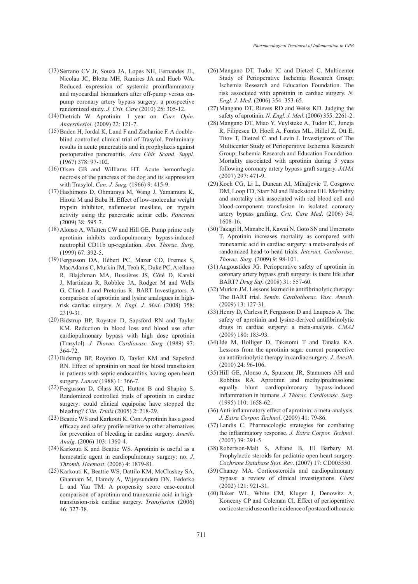- (13) Serrano CV Jr, Souza JA, Lopes NH, Fernandes JL, Nicolau JC, Blotta MH, Ramires JA and Hueb WA. Reduced expression of systemic proinflammatory and myocardial biomarkers after off-pump versus onpump coronary artery bypass surgery: a prospective randomized study. *J. Crit. Care* (2010) 25: 305-12.
- (14) Dietrich W. Aprotinin: 1 year on. *Curr. Opin. Anaesthesiol*. (2009) 22: 121-7.
- $(15)$  Baden H, Jordal K, Lund F and Zachariae F. A doubleblind controlled clinical trial of Trasylol. Preliminary results in acute pancreatitis and in prophylaxis against postoperative pancreatitis. *Acta Chir. Scand. Suppl*. (1967) 378: 97-102.
- $(16)$  Olsen GB and Williams HT. Acute hemorrhagic necrosis of the pancreas of the dog and its suppression with Trasylol. *Can. J. Surg.* (1966) 9: 415-9.
- Hashimoto D, Ohmuraya M, Wang J, Yamamura K, (17) Hirota M and Baba H. Effect of low-molecular weight trypsin inhibitor, nafamostat mesilate, on trypsin activity using the pancreatic acinar cells. *Pancreas* (2009) 38: 595-7.
- (18) Alonso A, Whitten CW and Hill GE. Pump prime only aprotinin inhibits cardiopulmonary bypass-induced neutrophil CD11b up-regulation. *Ann. Thorac. Surg*. (1999) 67: 392-5.
- Fergusson DA, Hébert PC, Mazer CD, Fremes S, (19) MacAdams C, Murkin JM, Teoh K, Duke PC, Arellano R, Blajchman MA, Bussières JS, Côté D, Karski J, Martineau R, Robblee JA, Rodger M and Wells G, Clinch J and Pretorius R. BART Investigators. A comparison of aprotinin and lysine analogues in highrisk cardiac surgery*. N. Engl. J. Med*. (2008) 358: 2319-31.
- (20) Bidstrup BP, Royston D, Sapsford RN and Taylor KM. Reduction in blood loss and blood use after cardiopulmonary bypass with high dose aprotinin (Trasylol). *J. Thorac. Cardiovasc. Surg.* (1989) 97: 364-72.
- (21) Bidstrup BP, Royston D, Taylor KM and Sapsford RN. Effect of aprotinin on need for blood transfusion in patients with septic endocarditis having open-heart surgery. *Lancet* (1988) 1: 366-7.
- Fergusson D, Glass KC, Hutton B and Shapiro S. (22) Randomized controlled trials of aprotinin in cardiac surgery: could clinical equipoise have stopped the bleeding? *Clin. Trials* (2005) 2: 218-29.
- (23) Beattie WS and Karkouti K. Con: Aprotinin has a good efficacy and safety profile relative to other alternatives for prevention of bleeding in cardiac surgery. *Anesth. Analg*. (2006) 103: 1360-4.
- $(24)$  Karkouti K and Beattie WS. Aprotinin is useful as a hemostatic agent in cardiopulmonary surgery: no. *J. Thromb. Haemost*. (2006) 4: 1879-81.
- (25) Karkouti K, Beattie WS, Dattilo KM, McCluskey SA, Ghannam M, Hamdy A, Wijeysundera DN, Fedorko L and Yau TM. A propensity score case-control comparison of aprotinin and tranexamic acid in hightransfusion-risk cardiac surgery. *Transfusion* (2006) 46: 327-38.
- (26) Mangano DT, Tudor IC and Dietzel C. Multicenter Study of Perioperative Ischemia Research Group; Ischemia Research and Education Foundation. The risk associated with aprotinin in cardiac surgery. *N. Engl. J. Med.* (2006) 354: 353-65.
- Mangano DT, Rieves RD and Weiss KD. Judging the (27) safety of aprotinin. *N. Engl. J. Med*. (2006) 355: 2261-2.
- (28) Mangano DT, Miao Y, Vuylsteke A, Tudor IC, Juneja R, Filipescu D, Hoeft A, Fontes ML, Hillel Z, Ott E, Titov T, Dietzel C and Levin J. Investigators of The Multicenter Study of Perioperative Ischemia Research Group; Ischemia Research and Education Foundation. Mortality associated with aprotinin during 5 years following coronary artery bypass graft surgery. *JAMA* (2007) 297: 471-9.
- (29) Koch CG, Li L, Duncan AI, Mihaljevic T, Cosgrove DM, Loop FD, Starr NJ and Blackstone EH. Morbidity and mortality risk associated with red blood cell and blood-component transfusion in isolated coronary artery bypass grafting. *Crit. Care Med*. (2006) 34: 1608-16.
- (30) Takagi H, Manabe H, Kawai N, Goto SN and Umemoto T. Aprotinin increases mortality as compared with tranexamic acid in cardiac surgery: a meta-analysis of randomized head-to-head trials. *Interact. Cardiovasc. Thorac. Surg*. (2009) 9: 98-101.
- $(31)$  Augoustides JG. Perioperative safety of aprotinin in coronary artery bypass graft surgery: is there life after BART? *Drug Saf*. (2008) 31: 557-60.
- (32) Murkin JM. Lessons learned in antifibrinolytic therapy: The BART trial. *Semin. Cardiothorac. Vasc. Anesth*. (2009) 13: 127-31.
- $(33)$  Henry D, Carless P, Fergusson D and Laupacis A. The safety of aprotinin and lysine-derived antifibrinolytic drugs in cardiac surgery: a meta-analysis. *CMAJ* (2009) 180: 183-93.
- $(34)$  Ide M, Bolliger D, Taketomi T and Tanaka KA. Lessons from the aprotinin saga: current perspective on antifibrinolytic therapy in cardiac surgery. *J. Anesth*. (2010) 24: 96-106.
- (35) Hill GE, Alonso A, Spurzem JR, Stammers AH and Robbins RA. Aprotinin and methylprednisolone equally blunt cardiopulmonary bypass-induced inflammation in humans. *J. Thorac. Cardiovasc. Surg.* (1995) 110: 1658-62.
- (36) Anti-inflammatory effect of aprotinin: a meta-analysis. *J. Extra Corpor. Technol*. (2009) 41: 79-86.
- Landis C. Pharmacologic strategies for combating (37) the inflammatory response. *J. Extra Corpor. Technol*. (2007) 39: 291-5.
- Robertson-Malt S, Afrane B, El Barbary M. (38) Prophylactic steroids for pediatric open heart surgery. *Cochrane Database Syst. Rev*. (2007) 17: CD005550.
- (39) Chaney MA. Corticosteroids and cardiopulmonary bypass: a review of clinical investigations. *Chest* (2002) 121: 921-31.
- (40) Baker WL, White CM, Kluger J, Denowitz A, Konecny CP and Coleman CI. Effect of perioperative corticosteroid use on the incidence of postcardiothoracic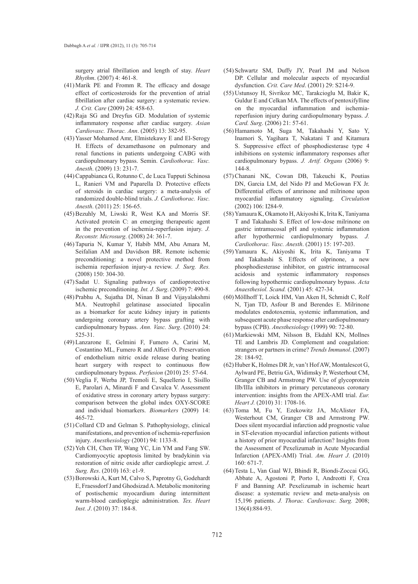surgery atrial fibrillation and length of stay. *Heart Rhythm*. (2007) 4: 461-8.

- $(41)$  Marik PE and Fromm R. The efficacy and dosage effect of corticosteroids for the prevention of atrial fibrillation after cardiac surgery: a systematic review. *J. Crit. Care* (2009) 24: 458-63.
- Raja SG and Dreyfus GD. Modulation of systemic (42) inflammatory response after cardiac surgery. *Asian Cardiovasc. Thorac. Ann*. (2005) 13: 382-95.
- (43) Yasser Mohamed Amr, Elmistekawy E and El-Serogy H. Effects of dexamethasone on pulmonary and renal functions in patients undergoing CABG with cardiopulmonary bypass. Semin. *Cardiothorac. Vasc. Anesth*. (2009) 13: 231-7.
- Cappabianca G, Rotunno C, de Luca Tupputi Schinosa (44) L, Ranieri VM and Paparella D. Protective effects of steroids in cardiac surgery: a meta-analysis of randomized double-blind trials. *J. Cardiothorac. Vasc. Anesth*. (2011) 25: 156-65.
- (45) Bezuhly M, Liwski R, West KA and Morris SF. Activated protein C: an emerging therapeutic agent in the prevention of ischemia-reperfusion injury. *J. Reconstr. Microsurg*. (2008) 24: 361-7.
- (46) Tapuria N, Kumar Y, Habib MM, Abu Amara M, Seifalian AM and Davidson BR. Remote ischemic preconditioning: a novel protective method from ischemia reperfusion injury-a review. *J. Surg. Res.* (2008) 150: 304-30.
- (47) Sadat U. Signaling pathways of cardioprotective ischemic preconditioning. *Int. J. Surg*. (2009) 7: 490-8.
- Prabhu A, Sujatha DI, Ninan B and Vijayalakshmi (48) MA. Neutrophil gelatinase associated lipocalin as a biomarker for acute kidney injury in patients undergoing coronary artery bypass grafting with cardiopulmonary bypass. *Ann. Vasc. Surg*. (2010) 24: 525-31.
- Lanzarone E, Gelmini F, Fumero A, Carini M, (49) Costantino ML, Fumero R and Alfieri O. Preservation of endothelium nitric oxide release during beating heart surgery with respect to continuous flow cardiopulmonary bypass. *Perfusion* (2010) 25: 57-64.
- (50) Veglia F, Werba JP, Tremoli E, Squellerio I, Sisillo E, Parolari A, Minardi F and Cavalca V. Assessment of oxidative stress in coronary artery bypass surgery: comparison between the global index OXY-SCORE and individual biomarkers. *Biomarkers* (2009) 14: 465-72.
- (51) Collard CD and Gelman S. Pathophysiology, clinical manifestations, and prevention of ischemia-reperfusion injury. *Anesthesiology* (2001) 94: 1133-8.
- (52) Yeh CH, Chen TP, Wang YC, Lin YM and Fang SW. Cardiomyocytic apoptosis limited by bradykinin via restoration of nitric oxide after cardioplegic arrest. *J. Surg. Res*. (2010) 163: e1-9.
- (53) Borowski A, Kurt M, Calvo S, Paprotny G, Godehardt E, Fraessdorf J and Ghodsizad A. Metabolic monitoring of postischemic myocardium during intermittent warm-blood cardioplegic administration. *Tex. Heart Inst. J*. (2010) 37: 184-8.
- (54) Schwartz SM, Duffy JY, Pearl JM and Nelson DP. Cellular and molecular aspects of myocardial dysfunction. *Crit. Care Med*. (2001) 29: S214-9.
- Ustunsoy H, Sivrikoz MC, Tarakcioglu M, Bakir K, (55) Guldur E and Celkan MA. The effects of pentoxifylline on the myocardial inflammation and ischemiareperfusion injury during cardiopulmonary bypass. *J. Card. Surg*. (2006) 21: 57-61.
- (56) Hamamoto M, Suga M, Takahashi Y, Sato Y, Inamori S, Yagihara T, Nakatani T and Kitamura S. Suppressive effect of phosphodiesterase type 4 inhibitions on systemic inflammatory responses after cardiopulmonary bypass. *J. Artif. Organs* (2006) 9: 144-8.
- (57) Chanani NK, Cowan DB, Takeuchi K, Poutias DN, Garcia LM, del Nido PJ and McGowan FX Jr. Differential effects of amrinone and milrinone upon myocardial inflammatory signaling. *Circulation* (2002) 106: I284-9.
- Yamaura K, Okamoto H, Akiyoshi K, Irita K, Taniyama (58) T and Takahashi S. Effect of low-dose milrinone on gastric intramucosal pH and systemic inflammation after hypothermic cardiopulmonary bypass. *J. Cardiothorac. Vasc. Anesth*. (2001) 15: 197-203.
- (59) Yamaura K, Akiyoshi K, Irita K, Taniyama T and Takahashi S. Effects of olprinone, a new phosphodiesterase inhibitor, on gastric intramucosal acidosis and systemic inflammatory responses following hypothermic cardiopulmonary bypass. *Acta Anaesthesiol. Scand.* (2001) 45: 427-34.
- (60) Möllhoff T, Loick HM, Van Aken H, Schmidt C, Rolf N, Tjan TD, Asfour B and Berendes E. Milrinone modulates endotoxemia, systemic inflammation, and subsequent acute phase response after cardiopulmonary bypass (CPB). *Anesthesiology* (1999) 90: 72-80.
- (61) Markiewski MM, Nilsson B, Ekdahl KN, Mollnes TE and Lambris JD. Complement and coagulation: strangers or partners in crime? *Trends Immunol*. (2007) 28: 184-92.
- (62) Huber K, Holmes DR Jr, van't Hof AW, Montalescot G, Aylward PE, Betriu GA, Widimsky P, Westerhout CM, Granger CB and Armstrong PW. Use of glycoprotein IIb/IIIa inhibitors in primary percutaneous coronary intervention: insights from the APEX-AMI trial. *Eur. Heart J.* (2010) 31: 1708-16.
- (63) Toma M, Fu Y, Ezekowitz JA, McAlister FA, Westerhout CM, Granger CB and Armstrong PW. Does silent myocardial infarction add prognostic value in ST-elevation myocardial infarction patients without a history of prior myocardial infarction? Insights from the Assessment of Pexelizumab in Acute Myocardial Infarction (APEX-AMI) Trial. *Am. Heart J*. (2010) 160: 671-7.
- Testa L, Van Gaal WJ, Bhindi R, Biondi-Zoccai GG, (64)Abbate A, Agostoni P, Porto I, Andreotti F, Crea F and Banning AP. Pexelizumab in ischemic heart disease: a systematic review and meta-analysis on 15,196 patients. *J. Thorac. Cardiovasc. Surg.* 2008; 136(4):884-93.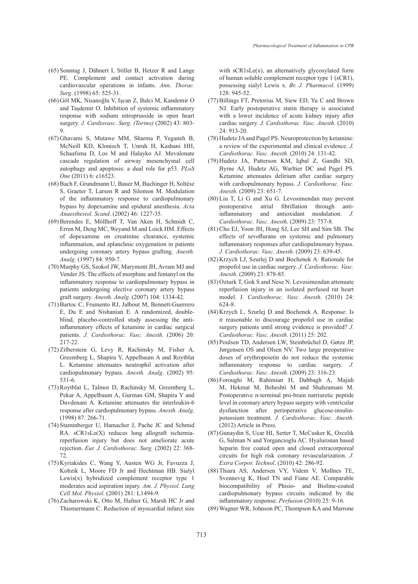- (65) Sonntag J, Dähnert I, Stiller B, Hetzer R and Lange PE. Complement and contact activation during cardiovascular operations in infants. *Ann*. *Thorac. Surg*. (1998) 65: 525-31.
- Göl MK, Nisanoğlu V, Işcan Z, Balci M, Kandemir O (66) and Taşdemir O. Inhibition of systemic inflammatory response with sodium nitroprusside in open heart surgery. *J. Cardiovasc. Surg. (Torino)* (2002) 43: 803- 9.
- (67) Ghavami S, Mutawe MM, Sharma P, Yeganeh B, McNeill KD, Klonisch T, Unruh H, Kashani HH, Schaafsma D, Los M and Halayko AJ. Mevalonate cascade regulation of airway mesenchymal cell autophagy and apoptosis: a dual role for p53. *PLoS One* (2011) 6: e16523.
- Bach F, Grundmann U, Bauer M, Buchinger H, Soltész (68) S, Graeter T, Larsen R and Silomon M. Modulation of the inflammatory response to cardiopulmonary bypass by dopexamine and epidural anesthesia. *Acta Anaesthesiol. Scand*. (2002) 46: 1227-35.
- Berendes E, Möllhoff T, Van Aken H, Schmidt C, (69) Erren M, Deng MC, Weyand M and Loick HM. Effects of dopexamine on creatinine clearance, systemic inflammation, and splanchnic oxygenation in patients undergoing coronary artery bypass grafting. *Anesth. Analg*. (1997) 84: 950-7.
- (70) Murphy GS, Szokol JW, Marymont JH, Avram MJ and Vender JS. The effects of morphine and fentanyl on the inflammatory response to cardiopulmonary bypass in patients undergoing elective coronary artery bypass graft surgery. *Anesth. Analg*. (2007) 104: 1334-42.
- (71) Bartoc C, Frumento RJ, Jalbout M, Bennett-Guerrero E, Du E and Nishanian E. A randomized, doubleblind, placebo-controlled study assessing the antiinflammatory effects of ketamine in cardiac surgical patients. *J. Cardiothorac. Vasc. Anesth.* (2006) 20: 217-22.
- (72) Zilberstein G, Levy R, Rachinsky M, Fisher A, Greemberg L, Shapira Y, Appelbaum A and Roytblat L. Ketamine attenuates neutrophil activation after cardiopulmonary bypass. *Anesth. Analg*. (2002) 95: 531-6.
- (73) Roytblat L, Talmor D, Rachinsky M, Greemberg L, Pekar A, Appelbaum A, Gurman GM, Shapira Y and Duvdenani A. Ketamine attenuates the interleukin-6 response after cardiopulmonary bypass. *Anesth. Analg*. (1998) 87: 266-71.
- (74) Stammberger U, Hamacher J, Pache JC and Schmid RA. sCR1sLe(X) reduces lung allograft ischemiareperfusion injury but does not ameliorate acute rejection. *Eur. J. Cardiothorac. Surg.* (2002) 22: 368- 72.
- (75) Kyriakides C, Wang Y, Austen WG Jr, Favuzza J, Kobzik L, Moore FD Jr and Hechtman HB. Sialyl Lewis(x) hybridized complement receptor type 1 moderates acid aspiration injury. *Am. J. Physiol. Lung Cell Mol. Physiol.* (2001) 281: L1494-9.
- (76) Zacharowski K, Otto M, Hafner G, Marsh HC Jr and Thiemermann C. Reduction of myocardial infarct size

with sCR1sLe(x), an alternatively glycosylated form of human soluble complement receptor type 1 (sCR1), possessing sialyl Lewis x. *Br. J. Pharmacol*. (1999) 128: 945-52.

- (77) Billings FT, Pretorius M, Siew ED, Yu C and Brown NJ. Early postoperative statin therapy is associated with a lower incidence of acute kidney injury after cardiac surgery. *J. Cardiothorac. Vasc. Anesth*. (2010) 24: 913-20.
- (78) Hudetz JA and Pagel PS. Neuroprotection by ketamine: a review of the experimental and clinical evidence. *J. Cardiothorac. Vasc. Anesth.* (2010) 24: 131-42.
- (79) Hudetz JA, Patterson KM, Iqbal Z, Gandhi SD, Byrne AJ, Hudetz AG, Warltier DC and Pagel PS. Ketamine attenuates delirium after cardiac surgery with cardiopulmonary bypass. *J. Cardiothorac. Vasc. Anesth*. (2009) 23: 651-7.
- $(80)$  Liu T, Li G and Xu G. Levosimendan may prevent postoperative atrial fibrillation through antiinflammatory and antioxidant modulation. *J. Cardiothorac. Vasc. Anesth*. (2009) 23: 757-8.
- (81) Cho EJ, Yoon JH, Hong SJ, Lee SH and Sim SB. The effects of sevoflurane on systemic and pulmonary inflammatory responses after cardiopulmonary bypass. *J. Cardiothorac. Vasc. Anesth*. (2009) 23: 639-45.
- (82) Krzych LJ, Szurlej D and Bochenek A. Rationale for propofol use in cardiac surgery. *J. Cardiothorac. Vasc. Anesth*. (2009) 23: 878-85.
- (83) Ozturk T, Gok S and Nese N. Levosimendan attenuate reperfusion injury in an isolated perfused rat heart model. J*. Cardiothorac. Vasc. Anesth*. (2010) 24: 624-8.
- (84) Krzych L, Szurlej D and Bochenek A. Response: Is it reasonable to discourage propofol use in cardiac surgery patients until strong evidence is provided? *J. Cardiothorac. Vasc. Anesth*. (2011) 25: 202.
- (85) Poulsen TD, Andersen LW, Steinbrüchel D, Gøtze JP, Jørgensen OS and Olsen NV. Two large preoperative doses of erythropoietin do not reduce the systemic inflammatory response to cardiac surgery*. J. Cardiothorac. Vasc. Anesth*. (2009) 23: 316-23.
- Foroughi M, Rahimian H, Dabbagh A, Majidi (86) M, Hekmat M, Beheshti M and Shahzamani M. Postoperative n-terminal pro-brain natriuretic peptide level in coronary artery bypass surgery with ventricular dysfunction after perioperative glucose-insulinpotassium treatment. *J. Cardiothorac. Vasc. Anesth*. (2012) Article in Press.
- (87) Gunaydin S, Ucar HI, Serter T, McCusker K, Ozcelik G, Salman N and Yorgancioglu AC. Hyaluronan based heparin free coated open and closed extracorporeal circuits for high risk coronary revascularization. *J. Extra Corpor. Technol*. (2010) 42: 286-92.
- (88) Thiara AS, Andersen VY, Videm V, Mollnes TE, Svennevig K, Hoel TN and Fiane AE. Comparable biocompatibility of Phisio- and Bioline-coated cardiopulmonary bypass circuits indicated by the inflammatory response. *Perfusion* (2010) 25: 9-16.
- Wagner WR, Johnson PC, Thompson KA and Marrone (89)